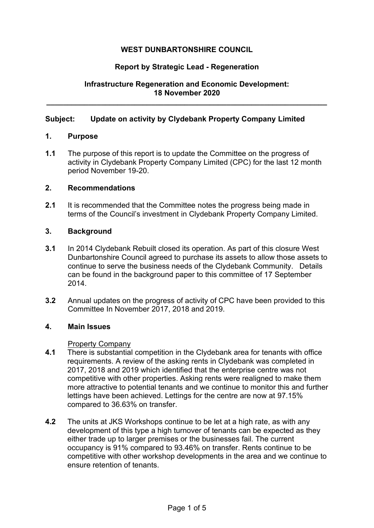## **WEST DUNBARTONSHIRE COUNCIL**

### **Report by Strategic Lead - Regeneration**

## **Infrastructure Regeneration and Economic Development: 18 November 2020**

**\_\_\_\_\_\_\_\_\_\_\_\_\_\_\_\_\_\_\_\_\_\_\_\_\_\_\_\_\_\_\_\_\_\_\_\_\_\_\_\_\_\_\_\_\_\_\_\_\_\_\_\_\_\_\_\_\_\_\_\_\_\_\_\_\_\_\_** 

### **Subject: Update on activity by Clydebank Property Company Limited**

### **1. Purpose**

**1.1** The purpose of this report is to update the Committee on the progress of activity in Clydebank Property Company Limited (CPC) for the last 12 month period November 19-20.

### **2. Recommendations**

**2.1** It is recommended that the Committee notes the progress being made in terms of the Council's investment in Clydebank Property Company Limited.

## **3. Background**

- **3.1** In 2014 Clydebank Rebuilt closed its operation. As part of this closure West Dunbartonshire Council agreed to purchase its assets to allow those assets to continue to serve the business needs of the Clydebank Community. Details can be found in the background paper to this committee of 17 September 2014.
- **3.2** Annual updates on the progress of activity of CPC have been provided to this Committee In November 2017, 2018 and 2019.

### **4. Main Issues**

### Property Company

- **4.1** There is substantial competition in the Clydebank area for tenants with office requirements. A review of the asking rents in Clydebank was completed in 2017, 2018 and 2019 which identified that the enterprise centre was not competitive with other properties. Asking rents were realigned to make them more attractive to potential tenants and we continue to monitor this and further lettings have been achieved. Lettings for the centre are now at 97.15% compared to 36.63% on transfer.
- **4.2** The units at JKS Workshops continue to be let at a high rate, as with any development of this type a high turnover of tenants can be expected as they either trade up to larger premises or the businesses fail. The current occupancy is 91% compared to 93.46% on transfer. Rents continue to be competitive with other workshop developments in the area and we continue to ensure retention of tenants.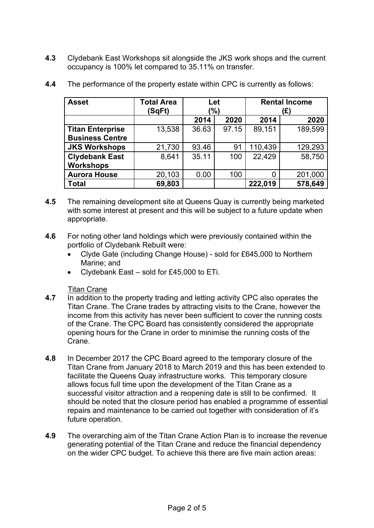**4.3** Clydebank East Workshops sit alongside the JKS work shops and the current occupancy is 100% let compared to 35.11% on transfer.

| <b>Asset</b>            | <b>Total Area</b><br>(SqFt) | Let<br>(%) |       | <b>Rental Income</b><br>(£) |         |
|-------------------------|-----------------------------|------------|-------|-----------------------------|---------|
|                         |                             | 2014       | 2020  | 2014                        | 2020    |
| <b>Titan Enterprise</b> | 13,538                      | 36.63      | 97.15 | 89,151                      | 189,599 |
| <b>Business Centre</b>  |                             |            |       |                             |         |
| <b>JKS Workshops</b>    | 21,730                      | 93.46      | 91    | 110,439                     | 129,293 |
| <b>Clydebank East</b>   | 8,641                       | 35.11      | 100   | 22,429                      | 58,750  |
| <b>Workshops</b>        |                             |            |       |                             |         |
| <b>Aurora House</b>     | 20,103                      | 0.00       | 100   | 0                           | 201,000 |
| <b>Total</b>            | 69,803                      |            |       | 222,019                     | 578,649 |

**4.4** The performance of the property estate within CPC is currently as follows:

- **4.5** The remaining development site at Queens Quay is currently being marketed with some interest at present and this will be subject to a future update when appropriate.
- **4.6** For noting other land holdings which were previously contained within the portfolio of Clydebank Rebuilt were:
	- Clyde Gate (including Change House) sold for £645,000 to Northern Marine; and
	- Clydebank East sold for £45,000 to ETi.

- **4.7 In addition to 4.7** In addition to the property trading and letting activity CPC also operates the Titan Crane. The Crane trades by attracting visits to the Crane, however the income from this activity has never been sufficient to cover the running costs of the Crane. The CPC Board has consistently considered the appropriate opening hours for the Crane in order to minimise the running costs of the Crane.
- **4.8** In December 2017 the CPC Board agreed to the temporary closure of the Titan Crane from January 2018 to March 2019 and this has been extended to facilitate the Queens Quay infrastructure works. This temporary closure allows focus full time upon the development of the Titan Crane as a successful visitor attraction and a reopening date is still to be confirmed. It should be noted that the closure period has enabled a programme of essential repairs and maintenance to be carried out together with consideration of it's future operation.
- **4.9** The overarching aim of the Titan Crane Action Plan is to increase the revenue generating potential of the Titan Crane and reduce the financial dependency on the wider CPC budget. To achieve this there are five main action areas: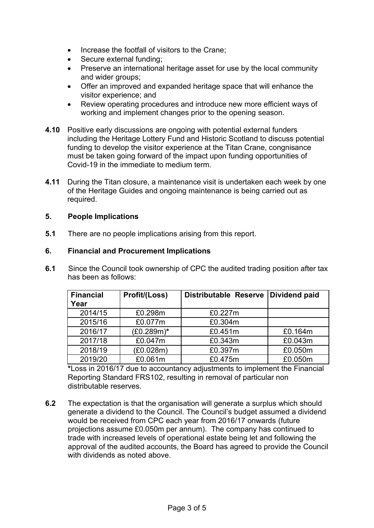- Increase the footfall of visitors to the Crane;
- Secure external funding;
- Preserve an international heritage asset for use by the local community and wider groups;
- Offer an improved and expanded heritage space that will enhance the visitor experience; and
- Review operating procedures and introduce new more efficient ways of working and implement changes prior to the opening season.
- **4.10** Positive early discussions are ongoing with potential external funders including the Heritage Lottery Fund and Historic Scotland to discuss potential funding to develop the visitor experience at the Titan Crane, congnisance must be taken going forward of the impact upon funding opportunities of Covid-19 in the immediate to medium term.
- **4.11** During the Titan closure, a maintenance visit is undertaken each week by one of the Heritage Guides and ongoing maintenance is being carried out as required.

## **5. People Implications**

**5.1** There are no people implications arising from this report.

## **6. Financial and Procurement Implications**

**6.1** Since the Council took ownership of CPC the audited trading position after tax has been as follows:

| <b>Financial</b><br>Year | Profit/(Loss) | <b>Distributable Reserve</b> | Dividend paid |
|--------------------------|---------------|------------------------------|---------------|
| 2014/15                  | £0.298m       | £0.227m                      |               |
| 2015/16                  | £0.077m       | £0.304m                      |               |
| 2016/17                  | $(E0.289m)^*$ | £0.451m                      | £0.164m       |
| 2017/18                  | £0.047m       | £0.343m                      | £0.043m       |
| 2018/19                  | (E0.028m)     | £0.397m                      | £0.050m       |
| 2019/20                  | £0.061m       | £0.475m                      | £0.050m       |

**\***Loss in 2016/17 due to accountancy adjustments to implement the Financial Reporting Standard FRS102, resulting in removal of particular non distributable reserves.

**6.2** The expectation is that the organisation will generate a surplus which should generate a dividend to the Council. The Council's budget assumed a dividend would be received from CPC each year from 2016/17 onwards (future projections assume £0.050m per annum). The company has continued to trade with increased levels of operational estate being let and following the approval of the audited accounts, the Board has agreed to provide the Council with dividends as noted above.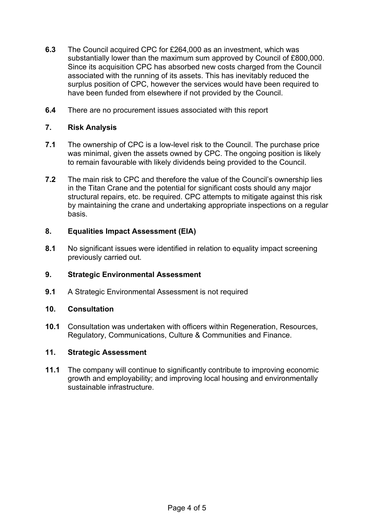- **6.3** The Council acquired CPC for £264,000 as an investment, which was substantially lower than the maximum sum approved by Council of £800,000. Since its acquisition CPC has absorbed new costs charged from the Council associated with the running of its assets. This has inevitably reduced the surplus position of CPC, however the services would have been required to have been funded from elsewhere if not provided by the Council.
- **6.4** There are no procurement issues associated with this report

## **7. Risk Analysis**

- **7.1** The ownership of CPC is a low-level risk to the Council. The purchase price was minimal, given the assets owned by CPC. The ongoing position is likely to remain favourable with likely dividends being provided to the Council.
- **7.2** The main risk to CPC and therefore the value of the Council's ownership lies in the Titan Crane and the potential for significant costs should any major structural repairs, etc. be required. CPC attempts to mitigate against this risk by maintaining the crane and undertaking appropriate inspections on a regular basis.

## **8. Equalities Impact Assessment (EIA)**

**8.1** No significant issues were identified in relation to equality impact screening previously carried out.

## **9. Strategic Environmental Assessment**

**9.1** A Strategic Environmental Assessment is not required

### **10. Consultation**

**10.1** Consultation was undertaken with officers within Regeneration, Resources, Regulatory, Communications, Culture & Communities and Finance.

### **11. Strategic Assessment**

**11.1** The company will continue to significantly contribute to improving economic growth and employability; and improving local housing and environmentally sustainable infrastructure.